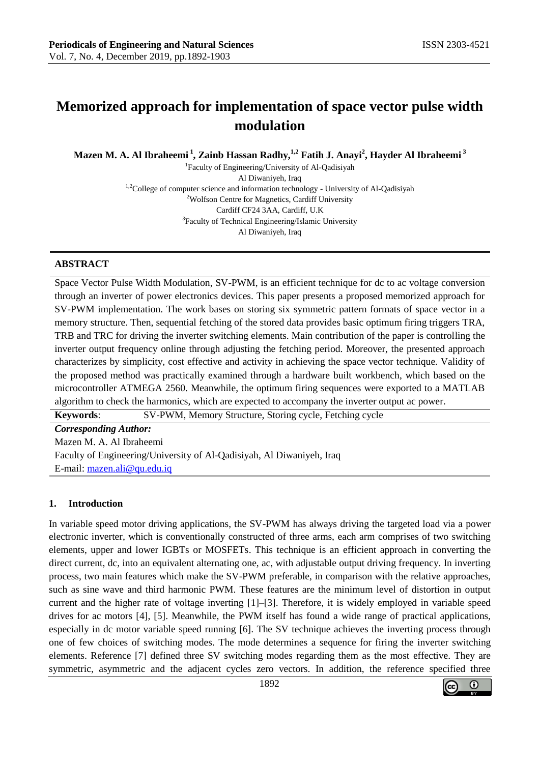# **Memorized approach for implementation of space vector pulse width modulation**

**Mazen M. A. Al Ibraheemi <sup>1</sup> , Zainb Hassan Radhy, 1,2 Fatih J. Anayi<sup>2</sup> , Hayder Al Ibraheemi <sup>3</sup>**

1 Faculty of Engineering/University of Al-Qadisiyah Al Diwaniyeh, Iraq <sup>1,2</sup>College of computer science and information technology - University of Al-Qadisiyah <sup>2</sup>Wolfson Centre for Magnetics, Cardiff University Cardiff CF24 3AA, Cardiff, U.K <sup>3</sup>Faculty of Technical Engineering/Islamic University Al Diwaniyeh, Iraq

## **ABSTRACT**

Space Vector Pulse Width Modulation, SV-PWM, is an efficient technique for dc to ac voltage conversion through an inverter of power electronics devices. This paper presents a proposed memorized approach for SV-PWM implementation. The work bases on storing six symmetric pattern formats of space vector in a memory structure. Then, sequential fetching of the stored data provides basic optimum firing triggers TRA, TRB and TRC for driving the inverter switching elements. Main contribution of the paper is controlling the inverter output frequency online through adjusting the fetching period. Moreover, the presented approach characterizes by simplicity, cost effective and activity in achieving the space vector technique. Validity of the proposed method was practically examined through a hardware built workbench, which based on the microcontroller ATMEGA 2560. Meanwhile, the optimum firing sequences were exported to a MATLAB algorithm to check the harmonics, which are expected to accompany the inverter output ac power.

**Keywords**: SV-PWM, Memory Structure, Storing cycle, Fetching cycle *Corresponding Author:* Mazen M. A. Al Ibraheemi Faculty of Engineering/University of Al-Qadisiyah, Al Diwaniyeh, Iraq E-mail: [mazen.ali@qu.edu.iq](mailto:mazen.ali@qu.edu.iq)

## **1. Introduction**

In variable speed motor driving applications, the SV-PWM has always driving the targeted load via a power electronic inverter, which is conventionally constructed of three arms, each arm comprises of two switching elements, upper and lower IGBTs or MOSFETs. This technique is an efficient approach in converting the direct current, dc, into an equivalent alternating one, ac, with adjustable output driving frequency. In inverting process, two main features which make the SV-PWM preferable, in comparison with the relative approaches, such as sine wave and third harmonic PWM. These features are the minimum level of distortion in output current and the higher rate of voltage inverting [1]–[3]. Therefore, it is widely employed in variable speed drives for ac motors [4], [5]. Meanwhile, the PWM itself has found a wide range of practical applications, especially in dc motor variable speed running [6]. The SV technique achieves the inverting process through one of few choices of switching modes. The mode determines a sequence for firing the inverter switching elements. Reference [7] defined three SV switching modes regarding them as the most effective. They are symmetric, asymmetric and the adjacent cycles zero vectors. In addition, the reference specified three

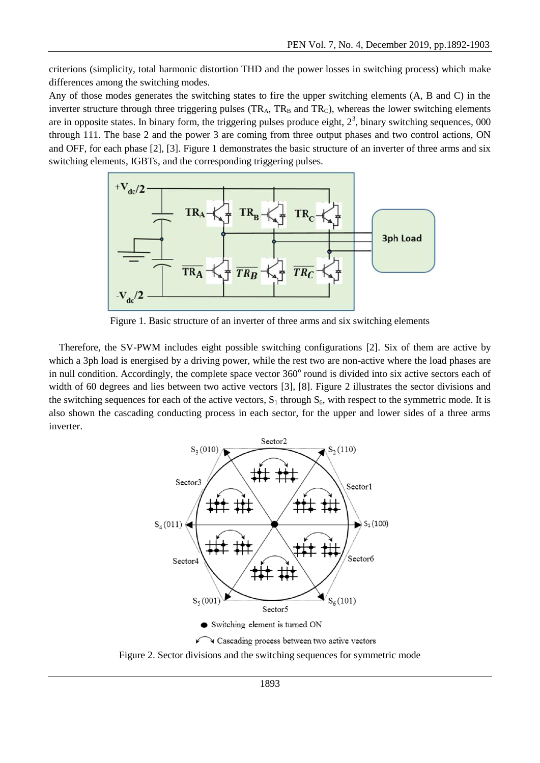criterions (simplicity, total harmonic distortion THD and the power losses in switching process) which make differences among the switching modes.

Any of those modes generates the switching states to fire the upper switching elements (A, B and C) in the inverter structure through three triggering pulses  $(TR_A, TR_B \text{ and } TR_C)$ , whereas the lower switching elements are in opposite states. In binary form, the triggering pulses produce eight,  $2<sup>3</sup>$ , binary switching sequences, 000 through 111. The base 2 and the power 3 are coming from three output phases and two control actions, ON and OFF, for each phase [2], [3]. Figure 1 demonstrates the basic structure of an inverter of three arms and six switching elements, IGBTs, and the corresponding triggering pulses.



Figure 1. Basic structure of an inverter of three arms and six switching elements

 Therefore, the SV-PWM includes eight possible switching configurations [2]. Six of them are active by which a 3ph load is energised by a driving power, while the rest two are non-active where the load phases are in null condition. Accordingly, the complete space vector 360° round is divided into six active sectors each of width of 60 degrees and lies between two active vectors [3], [8]. Figure 2 illustrates the sector divisions and the switching sequences for each of the active vectors,  $S_1$  through  $S_6$ , with respect to the symmetric mode. It is also shown the cascading conducting process in each sector, for the upper and lower sides of a three arms inverter.



Figure 2. Sector divisions and the switching sequences for symmetric mode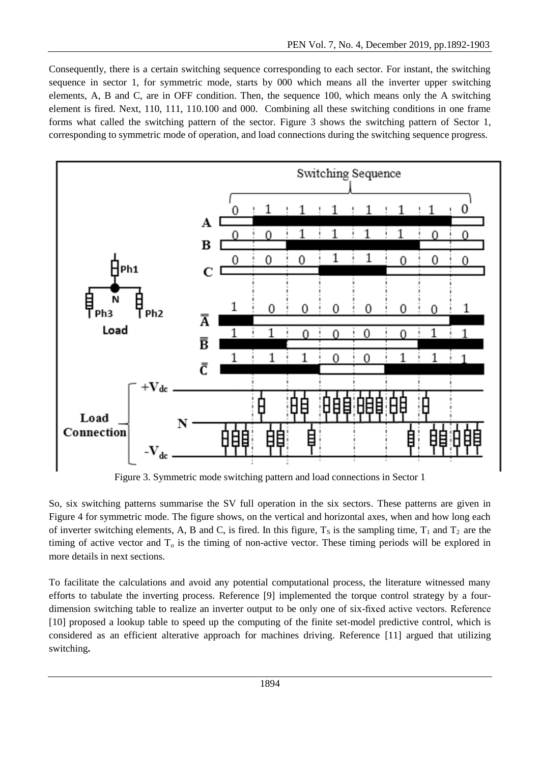Consequently, there is a certain switching sequence corresponding to each sector. For instant, the switching sequence in sector 1, for symmetric mode, starts by 000 which means all the inverter upper switching elements, A, B and C, are in OFF condition. Then, the sequence 100, which means only the A switching element is fired. Next, 110, 111, 110.100 and 000. Combining all these switching conditions in one frame forms what called the switching pattern of the sector. Figure 3 shows the switching pattern of Sector 1, corresponding to symmetric mode of operation, and load connections during the switching sequence progress.



Figure 3. Symmetric mode switching pattern and load connections in Sector 1

So, six switching patterns summarise the SV full operation in the six sectors. These patterns are given in Figure 4 for symmetric mode. The figure shows, on the vertical and horizontal axes, when and how long each of inverter switching elements, A, B and C, is fired. In this figure,  $T_s$  is the sampling time,  $T_1$  and  $T_2$  are the timing of active vector and  $T<sub>o</sub>$  is the timing of non-active vector. These timing periods will be explored in more details in next sections.

To facilitate the calculations and avoid any potential computational process, the literature witnessed many efforts to tabulate the inverting process. Reference [9] implemented the torque control strategy by a fourdimension switching table to realize an inverter output to be only one of six-fixed active vectors. Reference [10] proposed a lookup table to speed up the computing of the finite set-model predictive control, which is considered as an efficient alterative approach for machines driving. Reference [11] argued that utilizing switching**.**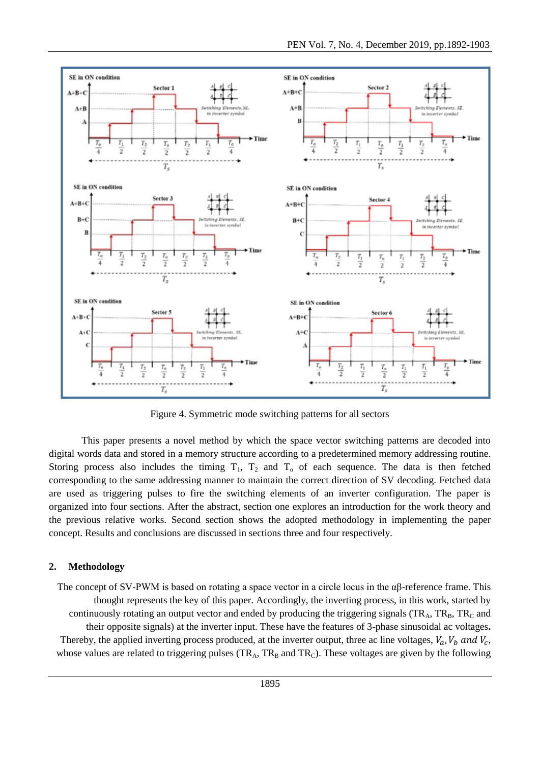

Figure 4. Symmetric mode switching patterns for all sectors

This paper presents a novel method by which the space vector switching patterns are decoded into digital words data and stored in a memory structure according to a predetermined memory addressing routine. Storing process also includes the timing  $T_1$ ,  $T_2$  and  $T_0$  of each sequence. The data is then fetched corresponding to the same addressing manner to maintain the correct direction of SV decoding. Fetched data are used as triggering pulses to fire the switching elements of an inverter configuration. The paper is organized into four sections. After the abstract, section one explores an introduction for the work theory and the previous relative works. Second section shows the adopted methodology in implementing the paper concept. Results and conclusions are discussed in sections three and four respectively.

# **2. Methodology**

The concept of SV-PWM is based on rotating a space vector in a circle locus in the  $\alpha\beta$ -reference frame. This thought represents the key of this paper. Accordingly, the inverting process, in this work, started by continuously rotating an output vector and ended by producing the triggering signals  $(TR_A, TR_B, TR_C$  and their opposite signals) at the inverter input. These have the features of 3-phase sinusoidal ac voltages**.**  Thereby, the applied inverting process produced, at the inverter output, three ac line voltages,  $V_a$ ,  $V_b$  and  $V_c$ , whose values are related to triggering pulses ( $TR_A$ ,  $TR_B$  and  $TR_C$ ). These voltages are given by the following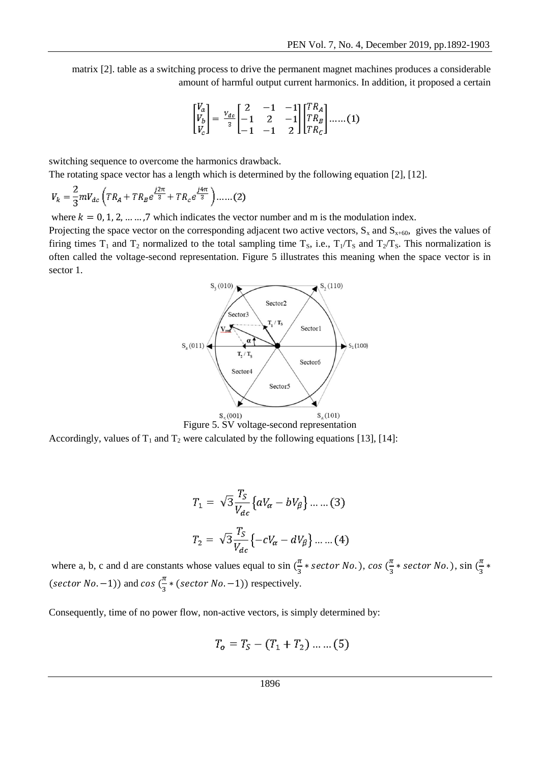matrix [2]. table as a switching process to drive the permanent magnet machines produces a considerable amount of harmful output current harmonics. In addition, it proposed a certain

$$
\begin{bmatrix} V_a \\ V_b \\ V_c \end{bmatrix} = \frac{v_{dc}}{3} \begin{bmatrix} 2 & -1 & -1 \\ -1 & 2 & -1 \\ -1 & -1 & 2 \end{bmatrix} \begin{bmatrix} TR_A \\ TR_B \\ TR_C \end{bmatrix} \dots \dots (1)
$$

switching sequence to overcome the harmonics drawback.

The rotating space vector has a length which is determined by the following equation [2], [12].

$$
V_{k} = \frac{2}{3} m V_{dc} \left( T R_{A} + T R_{B} e^{\frac{j2\pi}{3}} + T R_{c} e^{\frac{j4\pi}{3}} \right) \dots \dots (2)
$$

where  $k = 0, 1, 2, \dots, 7$  which indicates the vector number and m is the modulation index.

Projecting the space vector on the corresponding adjacent two active vectors,  $S_x$  and  $S_{x+60}$ , gives the values of firing times  $T_1$  and  $T_2$  normalized to the total sampling time  $T_s$ , i.e.,  $T_1/T_s$  and  $T_2/T_s$ . This normalization is often called the voltage-second representation. Figure 5 illustrates this meaning when the space vector is in sector 1.



Accordingly, values of  $T_1$  and  $T_2$  were calculated by the following equations [13], [14]:

$$
T_1 = \sqrt{3} \frac{T_S}{V_{dc}} \left\{ aV_{\alpha} - bV_{\beta} \right\} \dots \dots (3)
$$
  

$$
T_2 = \sqrt{3} \frac{T_S}{V_{dc}} \left\{ -cV_{\alpha} - dV_{\beta} \right\} \dots \dots (4)
$$

where a, b, c and d are constants whose values equal to  $\sin(\frac{\pi}{2})$  $\frac{\pi}{3}$  \* sector No.), cos  $(\frac{\pi}{3})$  $\frac{\pi}{3}$  \* sector No.), sin  $(\frac{\pi}{3})$  $\frac{n}{3}$  \* (sector No. -1)) and cos  $\left(\frac{\pi}{2}\right)$  $\frac{\pi}{3}$  \* (sector No. -1)) respectively.

Consequently, time of no power flow, non-active vectors, is simply determined by:

$$
T_o = T_S - (T_1 + T_2) \dots \dots (5)
$$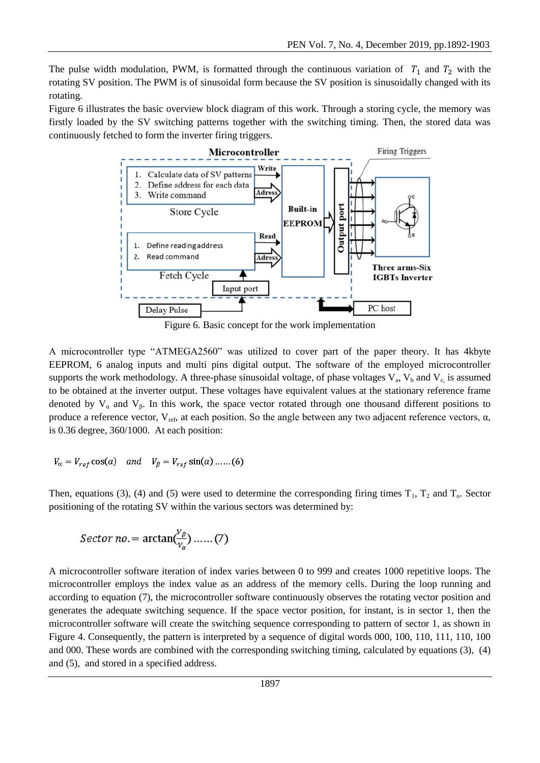The pulse width modulation, PWM, is formatted through the continuous variation of  $T_1$  and  $T_2$  with the rotating SV position. The PWM is of sinusoidal form because the SV position is sinusoidally changed with its rotating.

Figure 6 illustrates the basic overview block diagram of this work. Through a storing cycle, the memory was firstly loaded by the SV switching patterns together with the switching timing. Then, the stored data was continuously fetched to form the inverter firing triggers.



Figure 6. Basic concept for the work implementation

A microcontroller type "ATMEGA2560" was utilized to cover part of the paper theory. It has 4kbyte EEPROM, 6 analog inputs and multi pins digital output. The software of the employed microcontroller supports the work methodology. A three-phase sinusoidal voltage, of phase voltages  $V_a$ ,  $V_b$  and  $V_c$  is assumed to be obtained at the inverter output. These voltages have equivalent values at the stationary reference frame denoted by  $V_\alpha$  and  $V_\beta$ . In this work, the space vector rotated through one thousand different positions to produce a reference vector,  $V_{ref}$ , at each position. So the angle between any two adjacent reference vectors,  $\alpha$ , is 0.36 degree, 360/1000. At each position:

$$
V_{\alpha} = V_{ref} \cos(\alpha) \quad and \quad V_{\beta} = V_{ref} \sin(\alpha) \dots (6)
$$

Then, equations (3), (4) and (5) were used to determine the corresponding firing times  $T_1$ ,  $T_2$  and  $T_0$ . Sector positioning of the rotating SV within the various sectors was determined by:

$$
Sector\ no. = \arctan(\frac{v_{\beta}}{v_{\alpha}}) \dots \dots (7)
$$

A microcontroller software iteration of index varies between 0 to 999 and creates 1000 repetitive loops. The microcontroller employs the index value as an address of the memory cells. During the loop running and according to equation (7), the microcontroller software continuously observes the rotating vector position and generates the adequate switching sequence. If the space vector position, for instant, is in sector 1, then the microcontroller software will create the switching sequence corresponding to pattern of sector 1, as shown in Figure 4. Consequently, the pattern is interpreted by a sequence of digital words 000, 100, 110, 111, 110, 100 and 000. These words are combined with the corresponding switching timing, calculated by equations (3), (4) and (5), and stored in a specified address.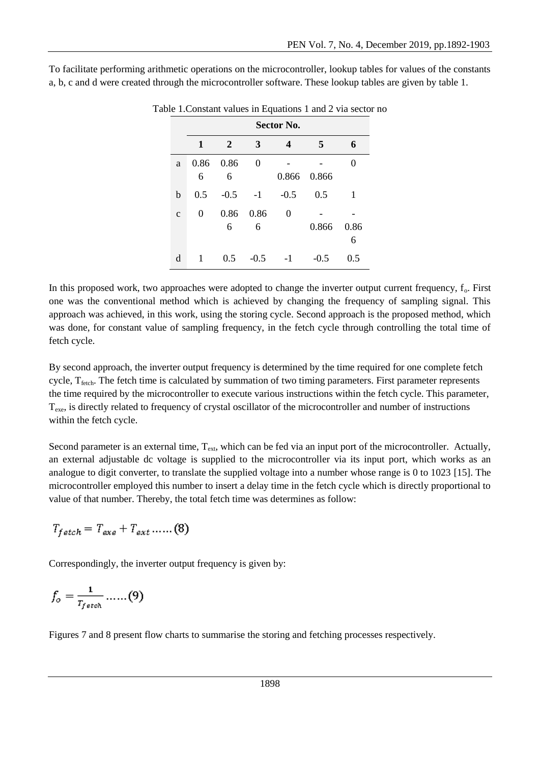|              | Table 1. Constant values in Equations 1 and 2 via sector no<br>Sector No. |           |           |        |        |           |
|--------------|---------------------------------------------------------------------------|-----------|-----------|--------|--------|-----------|
|              | 1                                                                         | 2         | 3         | 4      | 5      | 6         |
| a            | 0.86<br>6                                                                 | 0.86<br>6 | 0         | 0.866  | 0.866  | 0         |
| b            | 0.5                                                                       | $-0.5$    | $-1$      | $-0.5$ | 0.5    | 1         |
| $\mathbf{C}$ | 0                                                                         | 0.86<br>6 | 0.86<br>6 | 0      | 0.866  | 0.86<br>6 |
| d            |                                                                           | 0.5       | $-0.5$    | -1     | $-0.5$ | 0.5       |

To facilitate performing arithmetic operations on the microcontroller, lookup tables for values of the constants a, b, c and d were created through the microcontroller software. These lookup tables are given by table 1.

In this proposed work, two approaches were adopted to change the inverter output current frequency,  $f_0$ . First one was the conventional method which is achieved by changing the frequency of sampling signal. This approach was achieved, in this work, using the storing cycle. Second approach is the proposed method, which was done, for constant value of sampling frequency, in the fetch cycle through controlling the total time of fetch cycle.

By second approach, the inverter output frequency is determined by the time required for one complete fetch cycle,  $T_{\text{fech}}$ . The fetch time is calculated by summation of two timing parameters. First parameter represents the time required by the microcontroller to execute various instructions within the fetch cycle. This parameter,  $T_{\text{exe}}$ , is directly related to frequency of crystal oscillator of the microcontroller and number of instructions within the fetch cycle.

Second parameter is an external time,  $T_{ext}$ , which can be fed via an input port of the microcontroller. Actually, an external adjustable dc voltage is supplied to the microcontroller via its input port, which works as an analogue to digit converter, to translate the supplied voltage into a number whose range is 0 to 1023 [15]. The microcontroller employed this number to insert a delay time in the fetch cycle which is directly proportional to value of that number. Thereby, the total fetch time was determines as follow:

$$
T_{fetch} = T_{exe} + T_{ext} \dots (8)
$$

Correspondingly, the inverter output frequency is given by:

$$
f_o = \frac{1}{r_{f \text{stch}}} \dots (9)
$$

Figures 7 and 8 present flow charts to summarise the storing and fetching processes respectively.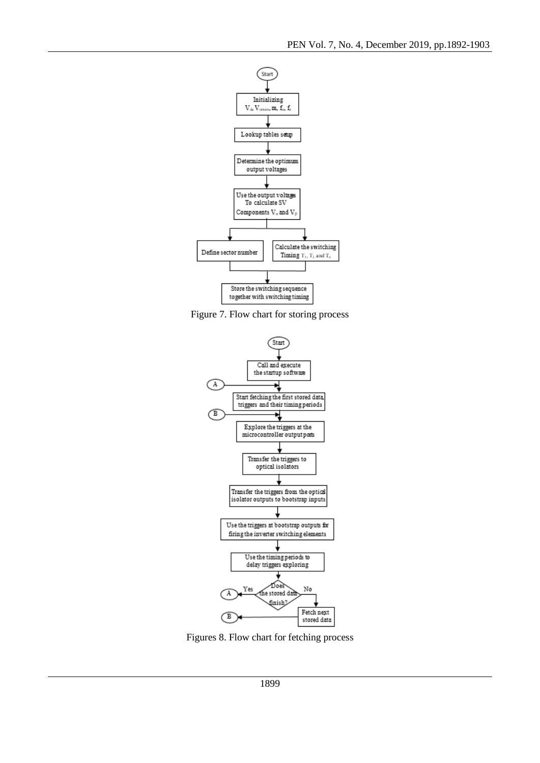

Figure 7. Flow chart for storing process



Figures 8. Flow chart for fetching process

1899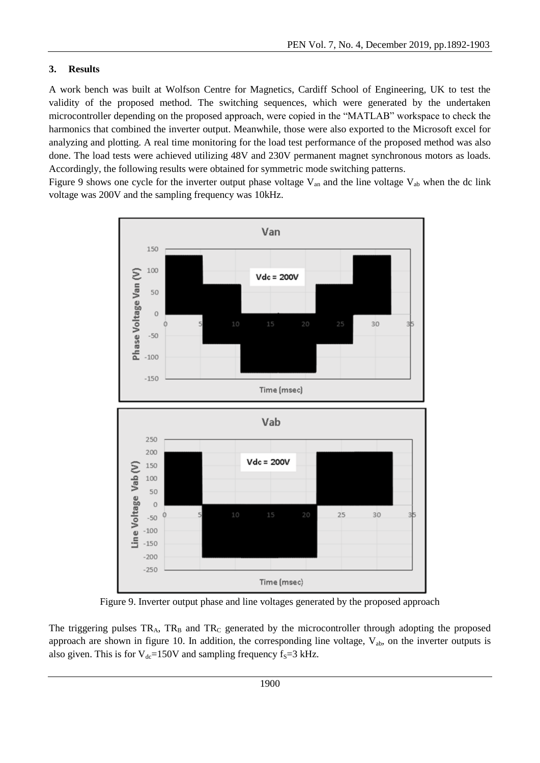# **3. Results**

A work bench was built at Wolfson Centre for Magnetics, Cardiff School of Engineering, UK to test the validity of the proposed method. The switching sequences, which were generated by the undertaken microcontroller depending on the proposed approach, were copied in the "MATLAB" workspace to check the harmonics that combined the inverter output. Meanwhile, those were also exported to the Microsoft excel for analyzing and plotting. A real time monitoring for the load test performance of the proposed method was also done. The load tests were achieved utilizing 48V and 230V permanent magnet synchronous motors as loads. Accordingly, the following results were obtained for symmetric mode switching patterns.

Figure 9 shows one cycle for the inverter output phase voltage  $V_{an}$  and the line voltage  $V_{ab}$  when the dc link voltage was 200V and the sampling frequency was 10kHz.



Figure 9. Inverter output phase and line voltages generated by the proposed approach

The triggering pulses  $TR_A$ ,  $TR_B$  and  $TR_C$  generated by the microcontroller through adopting the proposed approach are shown in figure 10. In addition, the corresponding line voltage,  $V_{ab}$ , on the inverter outputs is also given. This is for  $V_{dc}$ =150V and sampling frequency f<sub>S</sub>=3 kHz.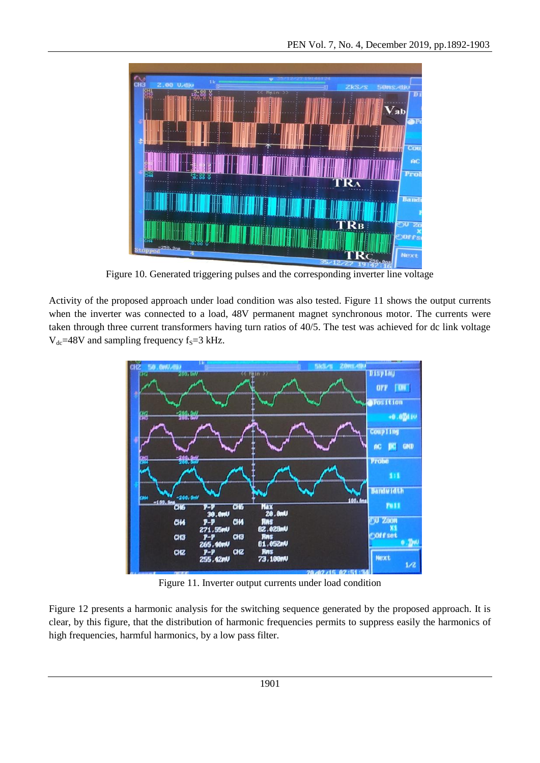

Figure 10. Generated triggering pulses and the corresponding inverter line voltage

Activity of the proposed approach under load condition was also tested. Figure 11 shows the output currents when the inverter was connected to a load, 48V permanent magnet synchronous motor. The currents were taken through three current transformers having turn ratios of 40/5. The test was achieved for dc link voltage  $V_{dc}$ =48V and sampling frequency f<sub>S</sub>=3 kHz.



Figure 11. Inverter output currents under load condition

Figure 12 presents a harmonic analysis for the switching sequence generated by the proposed approach. It is clear, by this figure, that the distribution of harmonic frequencies permits to suppress easily the harmonics of high frequencies, harmful harmonics, by a low pass filter.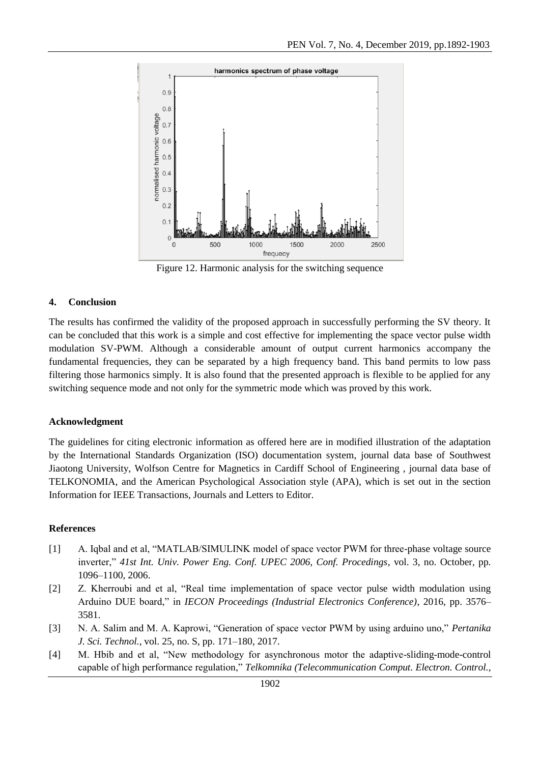

Figure 12. Harmonic analysis for the switching sequence

## **4. Conclusion**

The results has confirmed the validity of the proposed approach in successfully performing the SV theory. It can be concluded that this work is a simple and cost effective for implementing the space vector pulse width modulation SV-PWM. Although a considerable amount of output current harmonics accompany the fundamental frequencies, they can be separated by a high frequency band. This band permits to low pass filtering those harmonics simply. It is also found that the presented approach is flexible to be applied for any switching sequence mode and not only for the symmetric mode which was proved by this work.

#### **Acknowledgment**

The guidelines for citing electronic information as offered here are in modified illustration of the adaptation by the International Standards Organization (ISO) documentation system, journal data base of Southwest Jiaotong University, Wolfson Centre for Magnetics in Cardiff School of Engineering , journal data base of TELKONOMIA, and the American Psychological Association style (APA), which is set out in the section Information for IEEE Transactions, Journals and Letters to Editor.

#### **References**

- [1] A. Iqbal and et al, "MATLAB/SIMULINK model of space vector PWM for three-phase voltage source inverter," *41st Int. Univ. Power Eng. Conf. UPEC 2006, Conf. Procedings*, vol. 3, no. October, pp. 1096–1100, 2006.
- [2] Z. Kherroubi and et al, "Real time implementation of space vector pulse width modulation using Arduino DUE board," in *IECON Proceedings (Industrial Electronics Conference)*, 2016, pp. 3576– 3581.
- [3] N. A. Salim and M. A. Kaprowi, "Generation of space vector PWM by using arduino uno," *Pertanika J. Sci. Technol.*, vol. 25, no. S, pp. 171–180, 2017.
- [4] M. Hbib and et al, "New methodology for asynchronous motor the adaptive-sliding-mode-control capable of high performance regulation," *Telkomnika (Telecommunication Comput. Electron. Control.*,